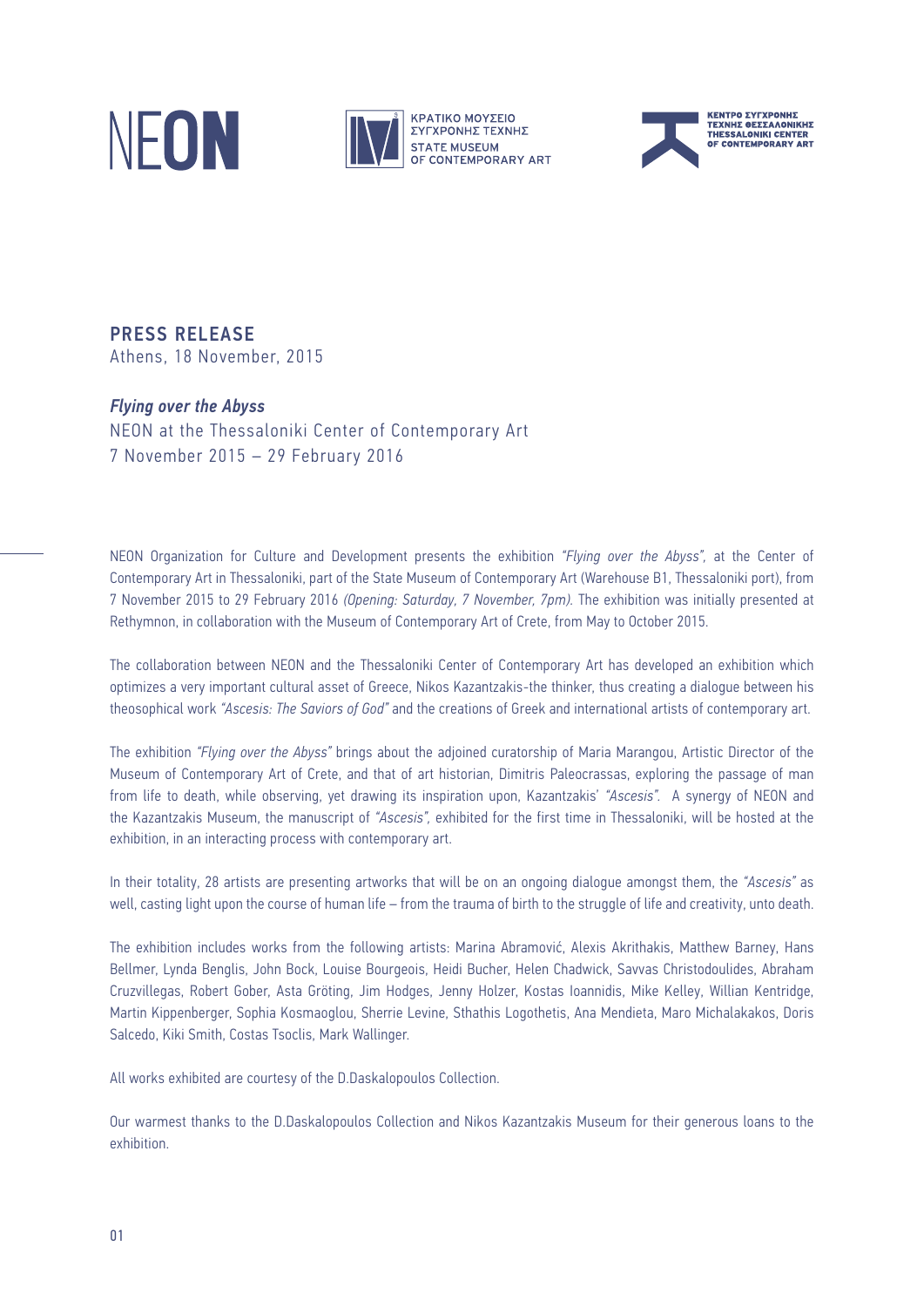



PRESS RELEASE Athens, 18 November, 2015

## *Flying over the Abyss*

NEON at the Thessaloniki Center of Contemporary Art 7 November 2015 – 29 February 2016

NEON Organization for Culture and Development presents the exhibition *"Flying over the Abyss",* at the Center of Contemporary Art in Thessaloniki, part of the State Museum of Contemporary Art (Warehouse B1, Thessaloniki port), from 7 November 2015 to 29 February 2016 *(Opening: Saturday, 7 November, 7pm).* The exhibition was initially presented at Rethymnon, in collaboration with the Museum of Contemporary Art of Crete, from May to October 2015.

The collaboration between NEON and the Thessaloniki Center of Contemporary Art has developed an exhibition which optimizes a very important cultural asset of Greece, Nikos Kazantzakis-the thinker, thus creating a dialogue between his theosophical work *"Ascesis: The Saviors of God"* and the creations of Greek and international artists of contemporary art.

The exhibition *"Flying over the Abyss"* brings about the adjoined curatorship of Maria Marangou, Artistic Director of the Museum of Contemporary Art of Crete, and that of art historian, Dimitris Paleocrassas, exploring the passage of man from life to death, while observing, yet drawing its inspiration upon, Kazantzakis' *"Ascesis".* A synergy of NEON and the Kazantzakis Museum, the manuscript of *"Ascesis",* exhibited for the first time in Thessaloniki, will be hosted at the exhibition, in an interacting process with contemporary art.

In their totality, 28 artists are presenting artworks that will be on an ongoing dialogue amongst them, the *"Ascesis"* as well, casting light upon the course of human life – from the trauma of birth to the struggle of life and creativity, unto death.

The exhibition includes works from the following artists: Marina Abramović, Alexis Akrithakis, Matthew Barney, Hans Bellmer, Lynda Benglis, John Bock, Louise Bourgeois, Heidi Bucher, Helen Chadwick, Savvas Christodoulides, Abraham Cruzvillegas, Robert Gober, Asta Gröting, Jim Hodges, Jenny Holzer, Kostas Ioannidis, Mike Kelley, Willian Kentridge, Martin Kippenberger, Sophia Kosmaoglou, Sherrie Levine, Sthathis Logothetis, Ana Mendieta, Maro Michalakakos, Doris Salcedo, Kiki Smith, Costas Tsoclis, Mark Wallinger.

All works exhibited are courtesy of the D.Daskalopoulos Collection.

Our warmest thanks to the D.Daskalopoulos Collection and Nikos Kazantzakis Museum for their generous loans to the exhibition.